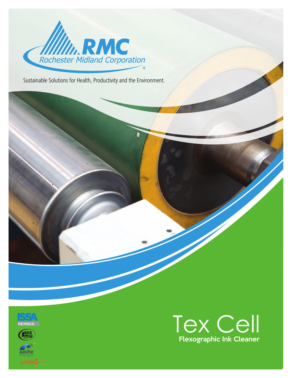

Sustainable Solutions for Health, Productivity and the Environment.